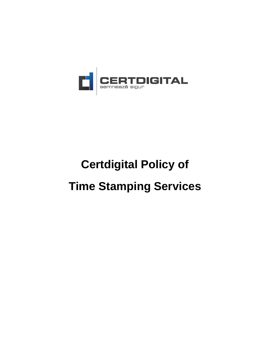

# **Certdigital Policy of**

## **Time Stamping Services**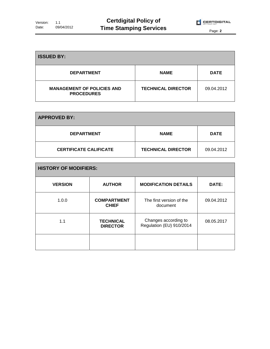

| <b>ISSUED BY:</b>                                      |                           |             |
|--------------------------------------------------------|---------------------------|-------------|
| <b>DEPARTMENT</b>                                      | <b>NAME</b>               | <b>DATE</b> |
| <b>MANAGEMENT OF POLICIES AND</b><br><b>PROCEDURES</b> | <b>TECHNICAL DIRECTOR</b> | 09.04.2012  |

| <b>APPROVED BY:</b>           |                           |             |
|-------------------------------|---------------------------|-------------|
| <b>DEPARTMENT</b>             | <b>NAME</b>               | <b>DATE</b> |
| <b>CERTIFICATE CALIFICATE</b> | <b>TECHNICAL DIRECTOR</b> | 09.04.2012  |

| <b>HISTORY OF MODIFIERS:</b> |                                     |                                                  |            |  |
|------------------------------|-------------------------------------|--------------------------------------------------|------------|--|
| <b>VERSION</b>               | <b>AUTHOR</b>                       | <b>MODIFICATION DETAILS</b>                      | DATE:      |  |
| 1.0.0                        | <b>COMPARTMENT</b><br><b>CHIEF</b>  | The first version of the<br>document             | 09.04.2012 |  |
| 1.1                          | <b>TECHNICAL</b><br><b>DIRECTOR</b> | Changes according to<br>Regulation (EU) 910/2014 | 08.05.2017 |  |
|                              |                                     |                                                  |            |  |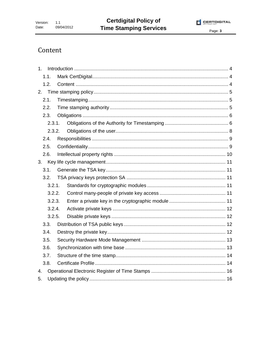

### Content

| 1 <sub>1</sub> |        |  |
|----------------|--------|--|
| 1.1.           |        |  |
| 1.2.           |        |  |
| 2.             |        |  |
| 2.1.           |        |  |
| 2.2.           |        |  |
| 2.3.           |        |  |
|                | 2.3.1. |  |
|                | 2.3.2. |  |
| 2.4.           |        |  |
| 2.5.           |        |  |
| 2.6.           |        |  |
|                |        |  |
| 3.1.           |        |  |
| 3.2.           |        |  |
|                | 3.2.1. |  |
|                | 3.2.2. |  |
|                | 3.2.3. |  |
|                | 3.2.4. |  |
|                | 3.2.5. |  |
| 3.3.           |        |  |
| 3.4.           |        |  |
| 3.5.           |        |  |
| 3.6.           |        |  |
| 3.7.           |        |  |
| 3.8.           |        |  |
| 4.             |        |  |
| 5.             |        |  |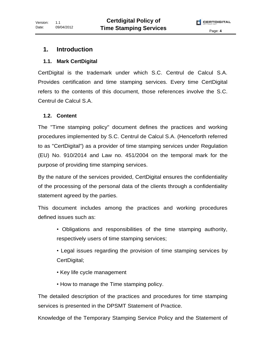#### **1. Introduction**

#### **1.1. Mark CertDigital**

CertDigital is the trademark under which S.C. Centrul de Calcul S.A. Provides certification and time stamping services. Every time CertDigital refers to the contents of this document, those references involve the S.C. Centrul de Calcul S.A.

#### **1.2. Content**

The "Time stamping policy" document defines the practices and working procedures implemented by S.C. Centrul de Calcul S.A. (Henceforth referred to as "CertDigital") as a provider of time stamping services under Regulation (EU) No. 910/2014 and Law no. 451/2004 on the temporal mark for the purpose of providing time stamping services.

By the nature of the services provided, CertDigital ensures the confidentiality of the processing of the personal data of the clients through a confidentiality statement agreed by the parties.

This document includes among the practices and working procedures defined issues such as:

• Obligations and responsibilities of the time stamping authority, respectively users of time stamping services;

• Legal issues regarding the provision of time stamping services by CertDigital;

- Key life cycle management
- How to manage the Time stamping policy.

The detailed description of the practices and procedures for time stamping services is presented in the DPSMT Statement of Practice.

Knowledge of the Temporary Stamping Service Policy and the Statement of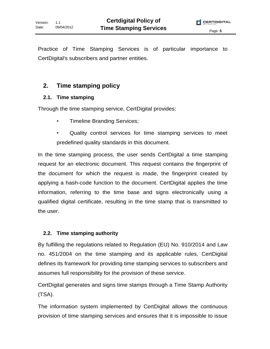Practice of Time Stamping Services is of particular importance to CertDigital's subscribers and partner entities.

#### **2. Time stamping policy**

#### **2.1. Time stamping**

Through the time stamping service, CertDigital provides:

- Timeline Branding Services;
- Quality control services for time stamping services to meet predefined quality standards in this document.

In the time stamping process, the user sends CertDigital a time stamping request for an electronic document. This request contains the fingerprint of the document for which the request is made, the fingerprint created by applying a hash-code function to the document. CertDigital applies the time information, referring to the time base and signs electronically using a qualified digital certificate, resulting in the time stamp that is transmitted to the user.

#### **2.2. Time stamping authority**

By fulfilling the regulations related to Regulation (EU) No. 910/2014 and Law no. 451/2004 on the time stamping and its applicable rules, CertDigital defines its framework for providing time stamping services to subscribers and assumes full responsibility for the provision of these service.

CertDigital generates and signs time stamps through a Time Stamp Authority (TSA).

The information system implemented by CertDigital allows the continuous provision of time stamping services and ensures that it is impossible to issue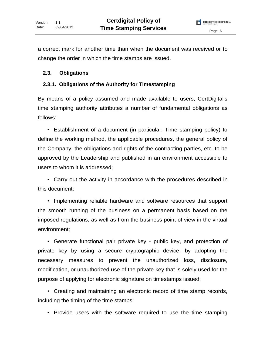a correct mark for another time than when the document was received or to change the order in which the time stamps are issued.

#### **2.3. Obligations**

#### **2.3.1. Obligations of the Authority for Timestamping**

By means of a policy assumed and made available to users, CertDigital's time stamping authority attributes a number of fundamental obligations as follows:

• Establishment of a document (in particular, Time stamping policy) to define the working method, the applicable procedures, the general policy of the Company, the obligations and rights of the contracting parties, etc. to be approved by the Leadership and published in an environment accessible to users to whom it is addressed;

• Carry out the activity in accordance with the procedures described in this document;

• Implementing reliable hardware and software resources that support the smooth running of the business on a permanent basis based on the imposed regulations, as well as from the business point of view in the virtual environment;

• Generate functional pair private key - public key, and protection of private key by using a secure cryptographic device, by adopting the necessary measures to prevent the unauthorized loss, disclosure, modification, or unauthorized use of the private key that is solely used for the purpose of applying for electronic signature on timestamps issued;

• Creating and maintaining an electronic record of time stamp records, including the timing of the time stamps;

• Provide users with the software required to use the time stamping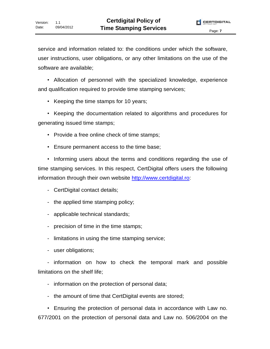service and information related to: the conditions under which the software, user instructions, user obligations, or any other limitations on the use of the software are available;

• Allocation of personnel with the specialized knowledge, experience and qualification required to provide time stamping services;

• Keeping the time stamps for 10 years;

• Keeping the documentation related to algorithms and procedures for generating issued time stamps;

- Provide a free online check of time stamps;
- Ensure permanent access to the time base;

• Informing users about the terms and conditions regarding the use of time stamping services. In this respect, CertDigital offers users the following information through their own website http://www.certdigital.ro:

- CertDigital contact details;
- the applied time stamping policy;
- applicable technical standards;
- precision of time in the time stamps;
- limitations in using the time stamping service;
- user obligations;

- information on how to check the temporal mark and possible limitations on the shelf life;

- information on the protection of personal data;
- the amount of time that CertDigital events are stored;

• Ensuring the protection of personal data in accordance with Law no. 677/2001 on the protection of personal data and Law no. 506/2004 on the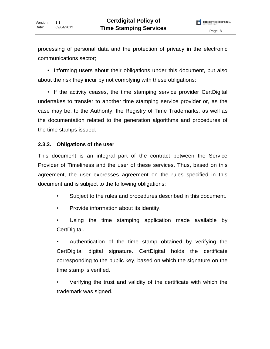processing of personal data and the protection of privacy in the electronic communications sector;

• Informing users about their obligations under this document, but also about the risk they incur by not complying with these obligations;

• If the activity ceases, the time stamping service provider CertDigital undertakes to transfer to another time stamping service provider or, as the case may be, to the Authority, the Registry of Time Trademarks, as well as the documentation related to the generation algorithms and procedures of the time stamps issued.

#### **2.3.2. Obligations of the user**

This document is an integral part of the contract between the Service Provider of Timeliness and the user of these services. Thus, based on this agreement, the user expresses agreement on the rules specified in this document and is subject to the following obligations:

- Subject to the rules and procedures described in this document.
- Provide information about its identity.
- Using the time stamping application made available by CertDigital.

• Authentication of the time stamp obtained by verifying the CertDigital digital signature. CertDigital holds the certificate corresponding to the public key, based on which the signature on the time stamp is verified.

• Verifying the trust and validity of the certificate with which the trademark was signed.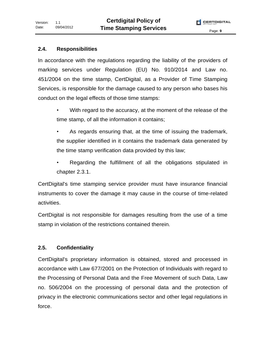#### **2.4. Responsibilities**

In accordance with the regulations regarding the liability of the providers of marking services under Regulation (EU) No. 910/2014 and Law no. 451/2004 on the time stamp, CertDigital, as a Provider of Time Stamping Services, is responsible for the damage caused to any person who bases his conduct on the legal effects of those time stamps:

- With regard to the accuracy, at the moment of the release of the time stamp, of all the information it contains;
- As regards ensuring that, at the time of issuing the trademark, the supplier identified in it contains the trademark data generated by the time stamp verification data provided by this law;
- Regarding the fulfillment of all the obligations stipulated in chapter 2.3.1.

CertDigital's time stamping service provider must have insurance financial instruments to cover the damage it may cause in the course of time-related activities.

CertDigital is not responsible for damages resulting from the use of a time stamp in violation of the restrictions contained therein.

#### **2.5. Confidentiality**

CertDigital's proprietary information is obtained, stored and processed in accordance with Law 677/2001 on the Protection of Individuals with regard to the Processing of Personal Data and the Free Movement of such Data, Law no. 506/2004 on the processing of personal data and the protection of privacy in the electronic communications sector and other legal regulations in force.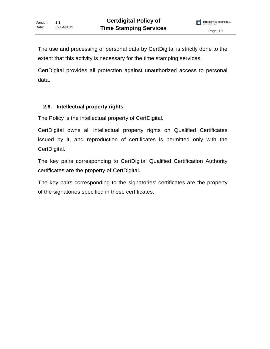The use and processing of personal data by CertDigital is strictly done to the extent that this activity is necessary for the time stamping services.

CertDigital provides all protection against unauthorized access to personal data.

#### **2.6. Intellectual property rights**

The Policy is the intellectual property of CertDigital.

CertDigital owns all intellectual property rights on Qualified Certificates issued by it, and reproduction of certificates is permitted only with the CertDigital.

The key pairs corresponding to CertDigital Qualified Certification Authority certificates are the property of CertDigital.

The key pairs corresponding to the signatories' certificates are the property of the signatories specified in these certificates.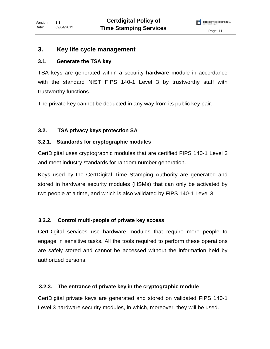#### **3. Key life cycle management**

#### **3.1. Generate the TSA key**

TSA keys are generated within a security hardware module in accordance with the standard NIST FIPS 140-1 Level 3 by trustworthy staff with trustworthy functions.

The private key cannot be deducted in any way from its public key pair.

#### **3.2. TSA privacy keys protection SA**

#### **3.2.1. Standards for cryptographic modules**

CertDigital uses cryptographic modules that are certified FIPS 140-1 Level 3 and meet industry standards for random number generation.

Keys used by the CertDigital Time Stamping Authority are generated and stored in hardware security modules (HSMs) that can only be activated by two people at a time, and which is also validated by FIPS 140-1 Level 3.

#### **3.2.2. Control multi-people of private key access**

CertDigital services use hardware modules that require more people to engage in sensitive tasks. All the tools required to perform these operations are safely stored and cannot be accessed without the information held by authorized persons.

#### **3.2.3. The entrance of private key in the cryptographic module**

CertDigital private keys are generated and stored on validated FIPS 140-1 Level 3 hardware security modules, in which, moreover, they will be used.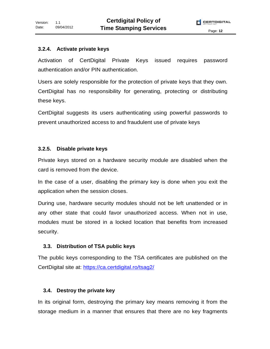#### **3.2.4. Activate private keys**

Activation of CertDigital Private Keys issued requires password authentication and/or PIN authentication.

Users are solely responsible for the protection of private keys that they own. CertDigital has no responsibility for generating, protecting or distributing these keys.

CertDigital suggests its users authenticating using powerful passwords to prevent unauthorized access to and fraudulent use of private keys

#### **3.2.5. Disable private keys**

Private keys stored on a hardware security module are disabled when the card is removed from the device.

In the case of a user, disabling the primary key is done when you exit the application when the session closes.

During use, hardware security modules should not be left unattended or in any other state that could favor unauthorized access. When not in use, modules must be stored in a locked location that benefits from increased security.

#### **3.3. Distribution of TSA public keys**

The public keys corresponding to the TSA certificates are published on the CertDigital site at: https://ca.certdigital.ro/tsag2/

#### **3.4. Destroy the private key**

In its original form, destroying the primary key means removing it from the storage medium in a manner that ensures that there are no key fragments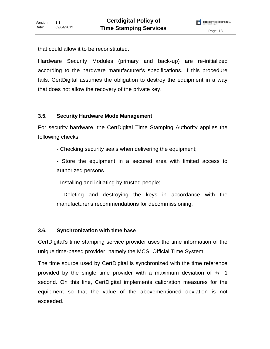that could allow it to be reconstituted.

Hardware Security Modules (primary and back-up) are re-initialized according to the hardware manufacturer's specifications. If this procedure fails, CertDigital assumes the obligation to destroy the equipment in a way that does not allow the recovery of the private key.

#### **3.5. Security Hardware Mode Management**

For security hardware, the CertDigital Time Stamping Authority applies the following checks:

- Checking security seals when delivering the equipment;

- Store the equipment in a secured area with limited access to authorized persons

- Installing and initiating by trusted people;

Deleting and destroying the keys in accordance with the manufacturer's recommendations for decommissioning.

#### **3.6. Synchronization with time base**

CertDigital's time stamping service provider uses the time information of the unique time-based provider, namely the MCSI Official Time System.

The time source used by CertDigital is synchronized with the time reference provided by the single time provider with a maximum deviation of +/- 1 second. On this line, CertDigital implements calibration measures for the equipment so that the value of the abovementioned deviation is not exceeded.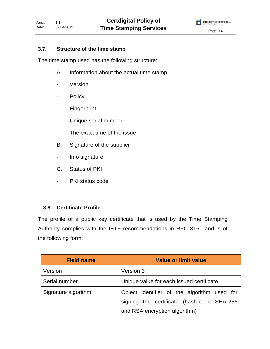#### **3.7. Structure of the time stamp**

The time stamp used has the following structure:

- A. Information about the actual time stamp
- Version
- Policy
- Fingerprint
- Unique serial number
- The exact time of the issue
- B. Signature of the supplier
- Info signature
- C. Status of PKI
- PKI status code

#### **3.8. Certificate Profile**

The profile of a public key certificate that is used by the Time Stamping Authority complies with the IETF recommendations in RFC 3161 and is of the following form:

| <b>Field name</b>   | <b>Value or limit value</b>                 |  |
|---------------------|---------------------------------------------|--|
| Version             | Version 3                                   |  |
| Serial number       | Unique value for each issued certificate    |  |
| Signature algorithm | Object identifier of the algorithm used for |  |
|                     | signing the certificate (hash-code SHA-256  |  |
|                     | and RSA encryption algorithm)               |  |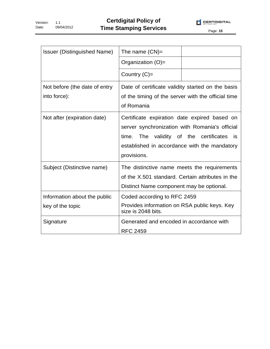Version: Date: 1.1 09/04/2012



| <b>Issuer (Distinguished Name)</b>               | The name $(CN)$ =                                                                                                                                                                                                 |  |
|--------------------------------------------------|-------------------------------------------------------------------------------------------------------------------------------------------------------------------------------------------------------------------|--|
|                                                  | Organization (O)=                                                                                                                                                                                                 |  |
|                                                  | Country $(C)$ =                                                                                                                                                                                                   |  |
| Not before (the date of entry<br>into force):    | Date of certificate validity started on the basis<br>of the timing of the server with the official time<br>of Romania                                                                                             |  |
| Not after (expiration date)                      | Certificate expiration date expired based on<br>server synchronization with Romania's official<br>The validity of the certificates<br>time.<br>is:<br>established in accordance with the mandatory<br>provisions. |  |
| Subject (Distinctive name)                       | The distinctive name meets the requirements<br>of the X.501 standard. Certain attributes in the<br>Distinct Name component may be optional.                                                                       |  |
| Information about the public<br>key of the topic | Coded according to RFC 2459<br>Provides information on RSA public keys. Key<br>size is 2048 bits.                                                                                                                 |  |
| Signature                                        | Generated and encoded in accordance with<br><b>RFC 2459</b>                                                                                                                                                       |  |